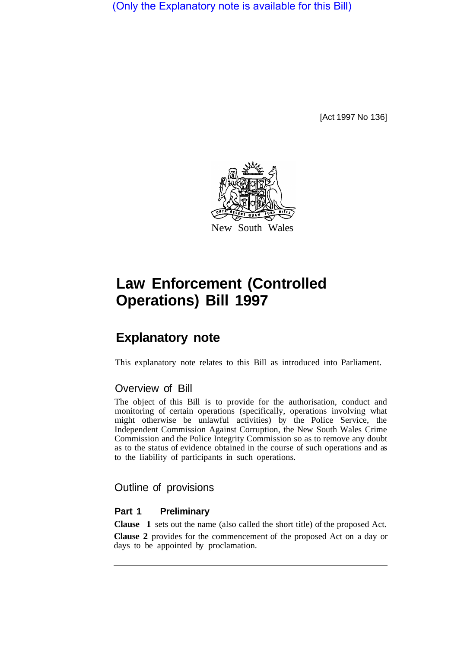(Only the Explanatory note is available for this Bill)

[Act 1997 No 136]



# **Law Enforcement (Controlled Operations) Bill 1997**

## **Explanatory note**

This explanatory note relates to this Bill as introduced into Parliament.

### Overview of Bill

The object of this Bill is to provide for the authorisation, conduct and monitoring of certain operations (specifically, operations involving what might otherwise be unlawful activities) by the Police Service, the Independent Commission Against Corruption, the New South Wales Crime Commission and the Police Integrity Commission so as to remove any doubt as to the status of evidence obtained in the course of such operations and as to the liability of participants in such operations.

#### Outline of provisions

#### **Part 1 Preliminary**

**Clause 1** sets out the name (also called the short title) of the proposed Act.

**Clause 2** provides for the commencement of the proposed Act on a day or days to be appointed by proclamation.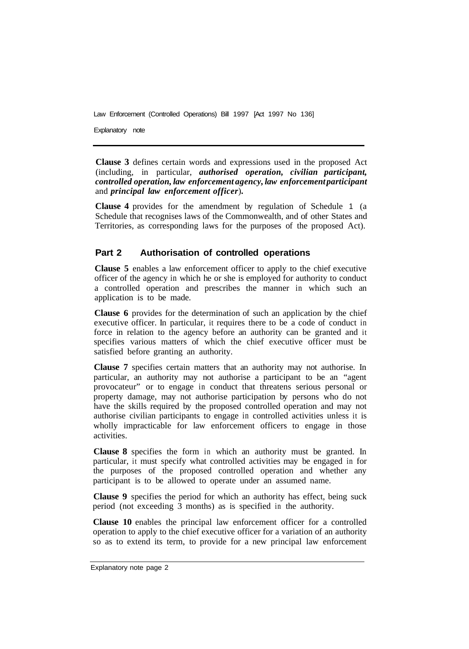Explanatory note

**Clause 3** defines certain words and expressions used in the proposed Act (including, in particular, *authorised operation, civilian participant, controlled operation, law enforcement agency, law enforcement participant*  and *principal law enforcement officer*)*.* 

**Clause 4** provides for the amendment by regulation of Schedule 1 (a Schedule that recognises laws of the Commonwealth, and of other States and Territories, as corresponding laws for the purposes of the proposed Act).

#### **Part 2 Authorisation of controlled operations**

**Clause 5** enables a law enforcement officer to apply to the chief executive officer of the agency in which he or she is employed for authority to conduct a controlled operation and prescribes the manner in which such an application is to be made.

**Clause 6** provides for the determination of such an application by the chief executive officer. In particular, it requires there to be a code of conduct in force in relation to the agency before an authority can be granted and it specifies various matters of which the chief executive officer must be satisfied before granting an authority.

**Clause 7** specifies certain matters that an authority may not authorise. In particular, an authority may not authorise a participant to be an "agent provocateur" or to engage in conduct that threatens serious personal or property damage, may not authorise participation by persons who do not have the skills required by the proposed controlled operation and may not authorise civilian participants to engage in controlled activities unless it is wholly impracticable for law enforcement officers to engage in those activities.

**Clause 8** specifies the form in which an authority must be granted. In particular, it must specify what controlled activities may be engaged in for the purposes of the proposed controlled operation and whether any participant is to be allowed to operate under an assumed name.

**Clause 9** specifies the period for which an authority has effect, being suck period (not exceeding 3 months) as is specified in the authority.

**Clause 10** enables the principal law enforcement officer for a controlled operation to apply to the chief executive officer for a variation of an authority so as to extend its term, to provide for a new principal law enforcement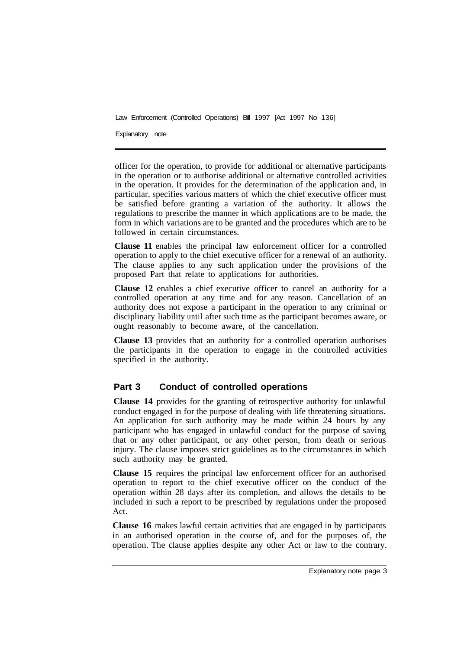Explanatory note

officer for the operation, to provide for additional or alternative participants in the operation or to authorise additional or alternative controlled activities in the operation. It provides for the determination of the application and, in particular, specifies various matters of which the chief executive officer must be satisfied before granting a variation of the authority. It allows the regulations to prescribe the manner in which applications are to be made, the form in which variations are to be granted and the procedures which are to be followed in certain circumstances.

**Clause 11** enables the principal law enforcement officer for a controlled operation to apply to the chief executive officer for a renewal of an authority. The clause applies to any such application under the provisions of the proposed Part that relate to applications for authorities.

**Clause 12** enables a chief executive officer to cancel an authority for a controlled operation at any time and for any reason. Cancellation of an authority does not expose a participant in the operation to any criminal or disciplinary liability until after such time as the participant becomes aware, or ought reasonably to become aware, of the cancellation.

**Clause 13** provides that an authority for a controlled operation authorises the participants in the operation to engage in the controlled activities specified in the authority.

#### **Part 3 Conduct of controlled operations**

**Clause 14** provides for the granting of retrospective authority for unlawful conduct engaged in for the purpose of dealing with life threatening situations. An application for such authority may be made within 24 hours by any participant who has engaged in unlawful conduct for the purpose of saving that or any other participant, or any other person, from death or serious injury. The clause imposes strict guidelines as to the circumstances in which such authority may be granted.

**Clause 15** requires the principal law enforcement officer for an authorised operation to report to the chief executive officer on the conduct of the operation within 28 days after its completion, and allows the details to be included in such a report to be prescribed by regulations under the proposed Act.

**Clause 16** makes lawful certain activities that are engaged in by participants in an authorised operation in the course of, and for the purposes of, the operation. The clause applies despite any other Act or law to the contrary.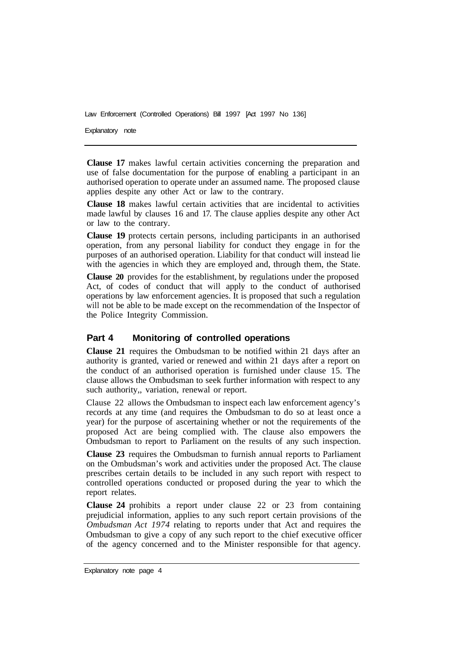Explanatory note

**Clause 17** makes lawful certain activities concerning the preparation and use of false documentation for the purpose of enabling a participant in an authorised operation to operate under an assumed name. The proposed clause applies despite any other Act or law to the contrary.

**Clause 18** makes lawful certain activities that are incidental to activities made lawful by clauses 16 and 17. The clause applies despite any other Act or law to the contrary.

**Clause 19** protects certain persons, including participants in an authorised operation, from any personal liability for conduct they engage in for the purposes of an authorised operation. Liability for that conduct will instead lie with the agencies in which they are employed and, through them, the State.

**Clause 20** provides for the establishment, by regulations under the proposed Act, of codes of conduct that will apply to the conduct of authorised operations by law enforcement agencies. It is proposed that such a regulation will not be able to be made except on the recommendation of the Inspector of the Police Integrity Commission.

#### **Part 4 Monitoring of controlled operations**

**Clause 21** requires the Ombudsman to be notified within 21 days after an authority is granted, varied or renewed and within 21 days after a report on the conduct of an authorised operation is furnished under clause 15. The clause allows the Ombudsman to seek further information with respect to any such authority,, variation, renewal or report.

Clause 22 allows the Ombudsman to inspect each law enforcement agency's records at any time (and requires the Ombudsman to do so at least once a year) for the purpose of ascertaining whether or not the requirements of the proposed Act are being complied with. The clause also empowers the Ombudsman to report to Parliament on the results of any such inspection.

**Clause 23** requires the Ombudsman to furnish annual reports to Parliament on the Ombudsman's work and activities under the proposed Act. The clause prescribes certain details to be included in any such report with respect to controlled operations conducted or proposed during the year to which the report relates.

**Clause 24** prohibits a report under clause 22 or 23 from containing prejudicial information, applies to any such report certain provisions of the *Ombudsman Act 1974* relating to reports under that Act and requires the Ombudsman to give a copy of any such report to the chief executive officer of the agency concerned and to the Minister responsible for that agency.